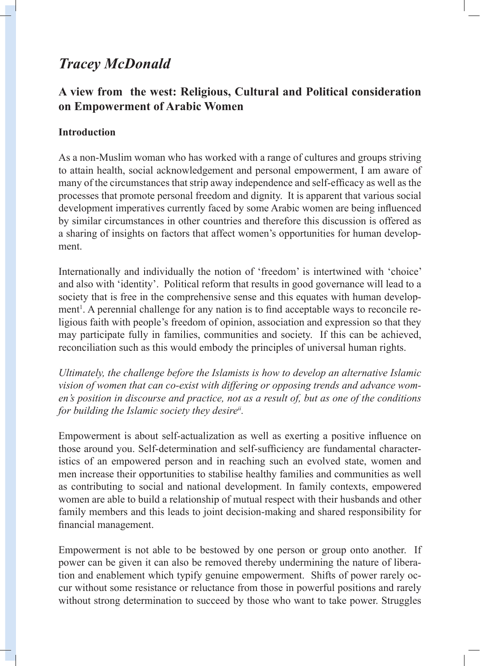# *Tracey McDonald*

# **A view from the west: Religious, Cultural and Political consideration on Empowerment of Arabic Women**

## **Introduction**

As a non-Muslim woman who has worked with a range of cultures and groups striving to attain health, social acknowledgement and personal empowerment, I am aware of many of the circumstances that strip away independence and self-efficacy as well as the processes that promote personal freedom and dignity. It is apparent that various social development imperatives currently faced by some Arabic women are being influenced by similar circumstances in other countries and therefore this discussion is offered as a sharing of insights on factors that affect women's opportunities for human development.

Internationally and individually the notion of 'freedom' is intertwined with 'choice' and also with 'identity'. Political reform that results in good governance will lead to a society that is free in the comprehensive sense and this equates with human development<sup>1</sup>. A perennial challenge for any nation is to find acceptable ways to reconcile religious faith with people's freedom of opinion, association and expression so that they may participate fully in families, communities and society. If this can be achieved, reconciliation such as this would embody the principles of universal human rights.

*Ultimately, the challenge before the Islamists is how to develop an alternative Islamic vision of women that can co-exist with differing or opposing trends and advance women's position in discourse and practice, not as a result of, but as one of the conditions for building the Islamic society they desireii .* 

Empowerment is about self-actualization as well as exerting a positive influence on those around you. Self-determination and self-sufficiency are fundamental characteristics of an empowered person and in reaching such an evolved state, women and men increase their opportunities to stabilise healthy families and communities as well as contributing to social and national development. In family contexts, empowered women are able to build a relationship of mutual respect with their husbands and other family members and this leads to joint decision-making and shared responsibility for financial management.

Empowerment is not able to be bestowed by one person or group onto another. If power can be given it can also be removed thereby undermining the nature of liberation and enablement which typify genuine empowerment. Shifts of power rarely occur without some resistance or reluctance from those in powerful positions and rarely without strong determination to succeed by those who want to take power. Struggles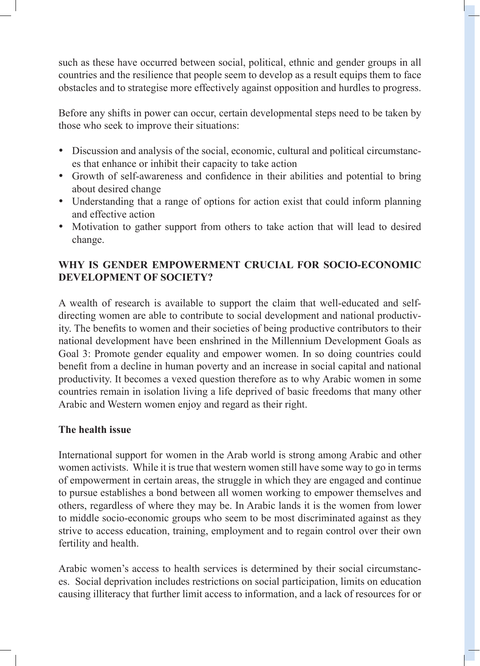such as these have occurred between social, political, ethnic and gender groups in all countries and the resilience that people seem to develop as a result equips them to face obstacles and to strategise more effectively against opposition and hurdles to progress.

Before any shifts in power can occur, certain developmental steps need to be taken by those who seek to improve their situations:

- Discussion and analysis of the social, economic, cultural and political circumstances that enhance or inhibit their capacity to take action
- Growth of self-awareness and confidence in their abilities and potential to bring about desired change
- Understanding that a range of options for action exist that could inform planning and effective action
- Motivation to gather support from others to take action that will lead to desired change.

## **WHY IS GENDER EMPOWERMENT CRUCIAL FOR SOCIO-ECONOMIC DEVELOPMENT OF SOCIETY?**

A wealth of research is available to support the claim that well-educated and selfdirecting women are able to contribute to social development and national productivity. The benefits to women and their societies of being productive contributors to their national development have been enshrined in the Millennium Development Goals as Goal 3: Promote gender equality and empower women. In so doing countries could benefit from a decline in human poverty and an increase in social capital and national productivity. It becomes a vexed question therefore as to why Arabic women in some countries remain in isolation living a life deprived of basic freedoms that many other Arabic and Western women enjoy and regard as their right.

#### **The health issue**

International support for women in the Arab world is strong among Arabic and other women activists. While it is true that western women still have some way to go in terms of empowerment in certain areas, the struggle in which they are engaged and continue to pursue establishes a bond between all women working to empower themselves and others, regardless of where they may be. In Arabic lands it is the women from lower to middle socio-economic groups who seem to be most discriminated against as they strive to access education, training, employment and to regain control over their own fertility and health.

Arabic women's access to health services is determined by their social circumstances. Social deprivation includes restrictions on social participation, limits on education causing illiteracy that further limit access to information, and a lack of resources for or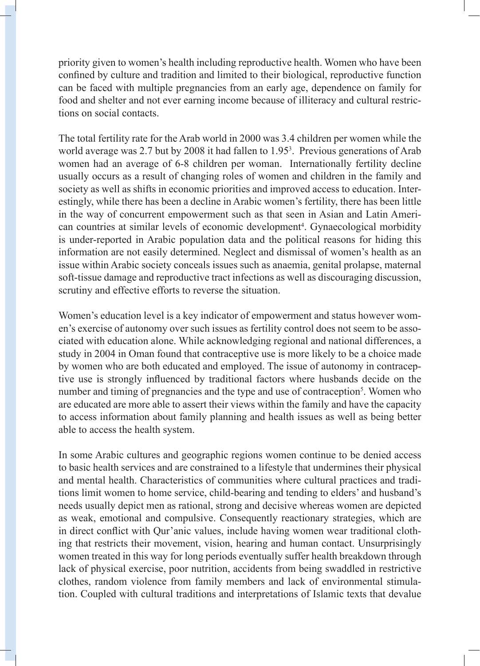priority given to women's health including reproductive health. Women who have been confined by culture and tradition and limited to their biological, reproductive function can be faced with multiple pregnancies from an early age, dependence on family for food and shelter and not ever earning income because of illiteracy and cultural restrictions on social contacts.

The total fertility rate for the Arab world in 2000 was 3.4 children per women while the world average was 2.7 but by 2008 it had fallen to 1.95<sup>3</sup>. Previous generations of Arab women had an average of 6-8 children per woman. Internationally fertility decline usually occurs as a result of changing roles of women and children in the family and society as well as shifts in economic priorities and improved access to education. Interestingly, while there has been a decline in Arabic women's fertility, there has been little in the way of concurrent empowerment such as that seen in Asian and Latin American countries at similar levels of economic development<sup>4</sup>. Gynaecological morbidity is under-reported in Arabic population data and the political reasons for hiding this information are not easily determined. Neglect and dismissal of women's health as an issue within Arabic society conceals issues such as anaemia, genital prolapse, maternal soft-tissue damage and reproductive tract infections as well as discouraging discussion, scrutiny and effective efforts to reverse the situation.

Women's education level is a key indicator of empowerment and status however women's exercise of autonomy over such issues as fertility control does not seem to be associated with education alone. While acknowledging regional and national differences, a study in 2004 in Oman found that contraceptive use is more likely to be a choice made by women who are both educated and employed. The issue of autonomy in contraceptive use is strongly influenced by traditional factors where husbands decide on the number and timing of pregnancies and the type and use of contraception<sup>5</sup>. Women who are educated are more able to assert their views within the family and have the capacity to access information about family planning and health issues as well as being better able to access the health system.

In some Arabic cultures and geographic regions women continue to be denied access to basic health services and are constrained to a lifestyle that undermines their physical and mental health. Characteristics of communities where cultural practices and traditions limit women to home service, child-bearing and tending to elders' and husband's needs usually depict men as rational, strong and decisive whereas women are depicted as weak, emotional and compulsive. Consequently reactionary strategies, which are in direct conflict with Qur'anic values, include having women wear traditional clothing that restricts their movement, vision, hearing and human contact. Unsurprisingly women treated in this way for long periods eventually suffer health breakdown through lack of physical exercise, poor nutrition, accidents from being swaddled in restrictive clothes, random violence from family members and lack of environmental stimulation. Coupled with cultural traditions and interpretations of Islamic texts that devalue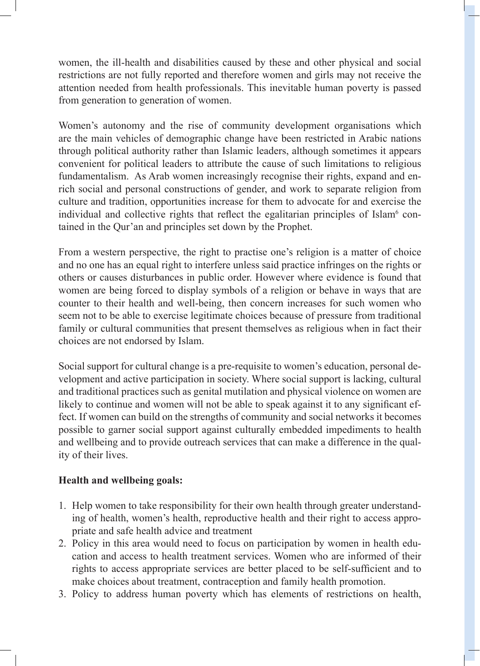women, the ill-health and disabilities caused by these and other physical and social restrictions are not fully reported and therefore women and girls may not receive the attention needed from health professionals. This inevitable human poverty is passed from generation to generation of women.

Women's autonomy and the rise of community development organisations which are the main vehicles of demographic change have been restricted in Arabic nations through political authority rather than Islamic leaders, although sometimes it appears convenient for political leaders to attribute the cause of such limitations to religious fundamentalism. As Arab women increasingly recognise their rights, expand and enrich social and personal constructions of gender, and work to separate religion from culture and tradition, opportunities increase for them to advocate for and exercise the individual and collective rights that reflect the egalitarian principles of Islam<sup>6</sup> contained in the Qur'an and principles set down by the Prophet.

From a western perspective, the right to practise one's religion is a matter of choice and no one has an equal right to interfere unless said practice infringes on the rights or others or causes disturbances in public order. However where evidence is found that women are being forced to display symbols of a religion or behave in ways that are counter to their health and well-being, then concern increases for such women who seem not to be able to exercise legitimate choices because of pressure from traditional family or cultural communities that present themselves as religious when in fact their choices are not endorsed by Islam.

Social support for cultural change is a pre-requisite to women's education, personal development and active participation in society. Where social support is lacking, cultural and traditional practices such as genital mutilation and physical violence on women are likely to continue and women will not be able to speak against it to any significant effect. If women can build on the strengths of community and social networks it becomes possible to garner social support against culturally embedded impediments to health and wellbeing and to provide outreach services that can make a difference in the quality of their lives.

#### **Health and wellbeing goals:**

- 1. Help women to take responsibility for their own health through greater understanding of health, women's health, reproductive health and their right to access appropriate and safe health advice and treatment
- 2. Policy in this area would need to focus on participation by women in health education and access to health treatment services. Women who are informed of their rights to access appropriate services are better placed to be self-sufficient and to make choices about treatment, contraception and family health promotion.
- 3. Policy to address human poverty which has elements of restrictions on health,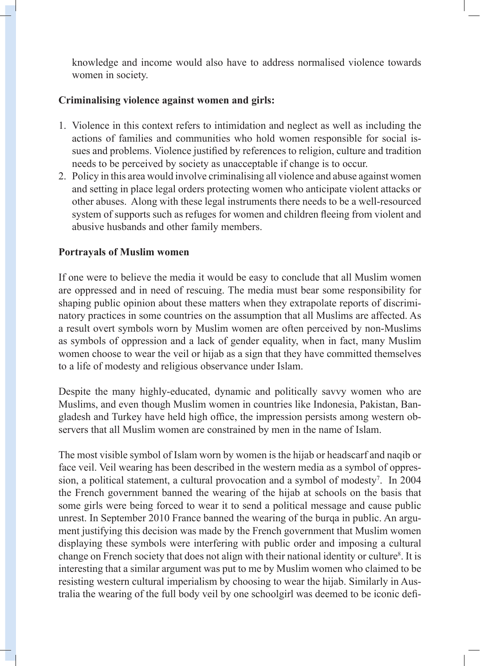knowledge and income would also have to address normalised violence towards women in society.

## **Criminalising violence against women and girls:**

- 1. Violence in this context refers to intimidation and neglect as well as including the actions of families and communities who hold women responsible for social issues and problems. Violence justified by references to religion, culture and tradition needs to be perceived by society as unacceptable if change is to occur.
- 2. Policy in this area would involve criminalising all violence and abuse against women and setting in place legal orders protecting women who anticipate violent attacks or other abuses. Along with these legal instruments there needs to be a well-resourced system of supports such as refuges for women and children fleeing from violent and abusive husbands and other family members.

#### **Portrayals of Muslim women**

If one were to believe the media it would be easy to conclude that all Muslim women are oppressed and in need of rescuing. The media must bear some responsibility for shaping public opinion about these matters when they extrapolate reports of discriminatory practices in some countries on the assumption that all Muslims are affected. As a result overt symbols worn by Muslim women are often perceived by non-Muslims as symbols of oppression and a lack of gender equality, when in fact, many Muslim women choose to wear the veil or hijab as a sign that they have committed themselves to a life of modesty and religious observance under Islam.

Despite the many highly-educated, dynamic and politically savvy women who are Muslims, and even though Muslim women in countries like Indonesia, Pakistan, Bangladesh and Turkey have held high office, the impression persists among western observers that all Muslim women are constrained by men in the name of Islam.

The most visible symbol of Islam worn by women is the hijab or headscarf and naqib or face veil. Veil wearing has been described in the western media as a symbol of oppression, a political statement, a cultural provocation and a symbol of modesty<sup>7</sup>. In 2004 the French government banned the wearing of the hijab at schools on the basis that some girls were being forced to wear it to send a political message and cause public unrest. In September 2010 France banned the wearing of the burqa in public. An argument justifying this decision was made by the French government that Muslim women displaying these symbols were interfering with public order and imposing a cultural change on French society that does not align with their national identity or culture<sup>8</sup>. It is interesting that a similar argument was put to me by Muslim women who claimed to be resisting western cultural imperialism by choosing to wear the hijab. Similarly in Australia the wearing of the full body veil by one schoolgirl was deemed to be iconic defi-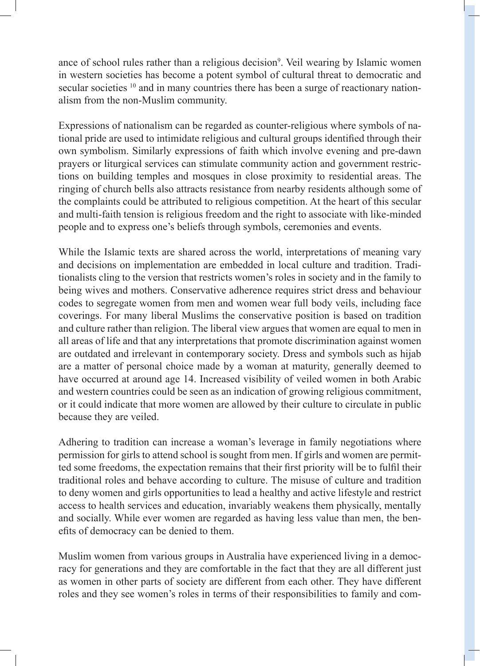ance of school rules rather than a religious decision<sup>9</sup>. Veil wearing by Islamic women in western societies has become a potent symbol of cultural threat to democratic and secular societies <sup>10</sup> and in many countries there has been a surge of reactionary nationalism from the non-Muslim community.

Expressions of nationalism can be regarded as counter-religious where symbols of national pride are used to intimidate religious and cultural groups identified through their own symbolism. Similarly expressions of faith which involve evening and pre-dawn prayers or liturgical services can stimulate community action and government restrictions on building temples and mosques in close proximity to residential areas. The ringing of church bells also attracts resistance from nearby residents although some of the complaints could be attributed to religious competition. At the heart of this secular and multi-faith tension is religious freedom and the right to associate with like-minded people and to express one's beliefs through symbols, ceremonies and events.

While the Islamic texts are shared across the world, interpretations of meaning vary and decisions on implementation are embedded in local culture and tradition. Traditionalists cling to the version that restricts women's roles in society and in the family to being wives and mothers. Conservative adherence requires strict dress and behaviour codes to segregate women from men and women wear full body veils, including face coverings. For many liberal Muslims the conservative position is based on tradition and culture rather than religion. The liberal view argues that women are equal to men in all areas of life and that any interpretations that promote discrimination against women are outdated and irrelevant in contemporary society. Dress and symbols such as hijab are a matter of personal choice made by a woman at maturity, generally deemed to have occurred at around age 14. Increased visibility of veiled women in both Arabic and western countries could be seen as an indication of growing religious commitment, or it could indicate that more women are allowed by their culture to circulate in public because they are veiled.

Adhering to tradition can increase a woman's leverage in family negotiations where permission for girls to attend school is sought from men. If girls and women are permitted some freedoms, the expectation remains that their first priority will be to fulfil their traditional roles and behave according to culture. The misuse of culture and tradition to deny women and girls opportunities to lead a healthy and active lifestyle and restrict access to health services and education, invariably weakens them physically, mentally and socially. While ever women are regarded as having less value than men, the benefits of democracy can be denied to them.

Muslim women from various groups in Australia have experienced living in a democracy for generations and they are comfortable in the fact that they are all different just as women in other parts of society are different from each other. They have different roles and they see women's roles in terms of their responsibilities to family and com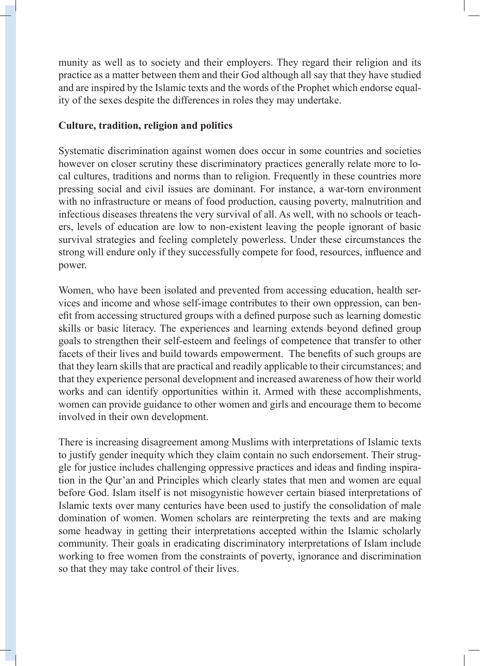munity as well as to society and their employers. They regard their religion and its practice as a matter between them and their God although all say that they have studied and are inspired by the Islamic texts and the words of the Prophet which endorse equality of the sexes despite the differences in roles they may undertake.

## **Culture, tradition, religion and politics**

Systematic discrimination against women does occur in some countries and societies however on closer scrutiny these discriminatory practices generally relate more to local cultures, traditions and norms than to religion. Frequently in these countries more pressing social and civil issues are dominant. For instance, a war-torn environment with no infrastructure or means of food production, causing poverty, malnutrition and infectious diseases threatens the very survival of all. As well, with no schools or teachers, levels of education are low to non-existent leaving the people ignorant of basic survival strategies and feeling completely powerless. Under these circumstances the strong will endure only if they successfully compete for food, resources, influence and power.

Women, who have been isolated and prevented from accessing education, health services and income and whose self-image contributes to their own oppression, can benefit from accessing structured groups with a defined purpose such as learning domestic skills or basic literacy. The experiences and learning extends beyond defined group goals to strengthen their self-esteem and feelings of competence that transfer to other facets of their lives and build towards empowerment. The benefits of such groups are that they learn skills that are practical and readily applicable to their circumstances; and that they experience personal development and increased awareness of how their world works and can identify opportunities within it. Armed with these accomplishments, women can provide guidance to other women and girls and encourage them to become involved in their own development.

There is increasing disagreement among Muslims with interpretations of Islamic texts to justify gender inequity which they claim contain no such endorsement. Their struggle for justice includes challenging oppressive practices and ideas and finding inspiration in the Qur'an and Principles which clearly states that men and women are equal before God. Islam itself is not misogynistic however certain biased interpretations of Islamic texts over many centuries have been used to justify the consolidation of male domination of women. Women scholars are reinterpreting the texts and are making some headway in getting their interpretations accepted within the Islamic scholarly community. Their goals in eradicating discriminatory interpretations of Islam include working to free women from the constraints of poverty, ignorance and discrimination so that they may take control of their lives.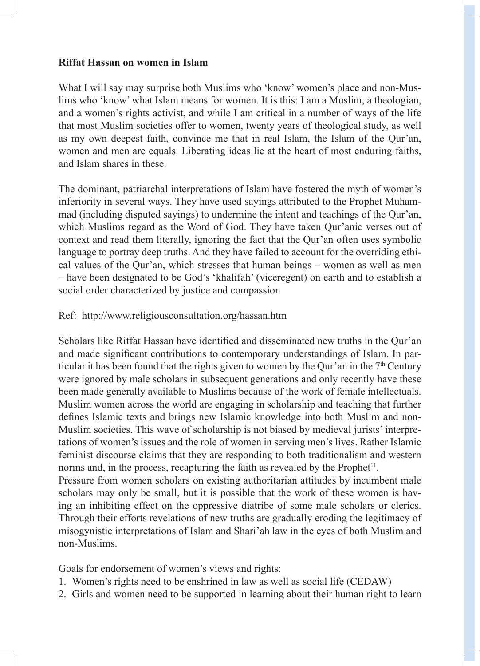#### **Riffat Hassan on women in Islam**

What I will say may surprise both Muslims who 'know' women's place and non-Muslims who 'know' what Islam means for women. It is this: I am a Muslim, a theologian, and a women's rights activist, and while I am critical in a number of ways of the life that most Muslim societies offer to women, twenty years of theological study, as well as my own deepest faith, convince me that in real Islam, the Islam of the Qur'an, women and men are equals. Liberating ideas lie at the heart of most enduring faiths, and Islam shares in these.

The dominant, patriarchal interpretations of Islam have fostered the myth of women's inferiority in several ways. They have used sayings attributed to the Prophet Muhammad (including disputed sayings) to undermine the intent and teachings of the Qur'an, which Muslims regard as the Word of God. They have taken Qur'anic verses out of context and read them literally, ignoring the fact that the Qur'an often uses symbolic language to portray deep truths. And they have failed to account for the overriding ethical values of the Qur'an, which stresses that human beings – women as well as men – have been designated to be God's 'khalifah' (viceregent) on earth and to establish a social order characterized by justice and compassion

Ref: http://www.religiousconsultation.org/hassan.htm

Scholars like Riffat Hassan have identified and disseminated new truths in the Qur'an and made significant contributions to contemporary understandings of Islam. In particular it has been found that the rights given to women by the Qur'an in the  $7<sup>th</sup>$  Century were ignored by male scholars in subsequent generations and only recently have these been made generally available to Muslims because of the work of female intellectuals. Muslim women across the world are engaging in scholarship and teaching that further defines Islamic texts and brings new Islamic knowledge into both Muslim and non-Muslim societies. This wave of scholarship is not biased by medieval jurists' interpretations of women's issues and the role of women in serving men's lives. Rather Islamic feminist discourse claims that they are responding to both traditionalism and western norms and, in the process, recapturing the faith as revealed by the Prophet<sup>11</sup>. Pressure from women scholars on existing authoritarian attitudes by incumbent male

scholars may only be small, but it is possible that the work of these women is having an inhibiting effect on the oppressive diatribe of some male scholars or clerics. Through their efforts revelations of new truths are gradually eroding the legitimacy of misogynistic interpretations of Islam and Shari'ah law in the eyes of both Muslim and non-Muslims.

Goals for endorsement of women's views and rights:

- 1. Women's rights need to be enshrined in law as well as social life (CEDAW)
- 2. Girls and women need to be supported in learning about their human right to learn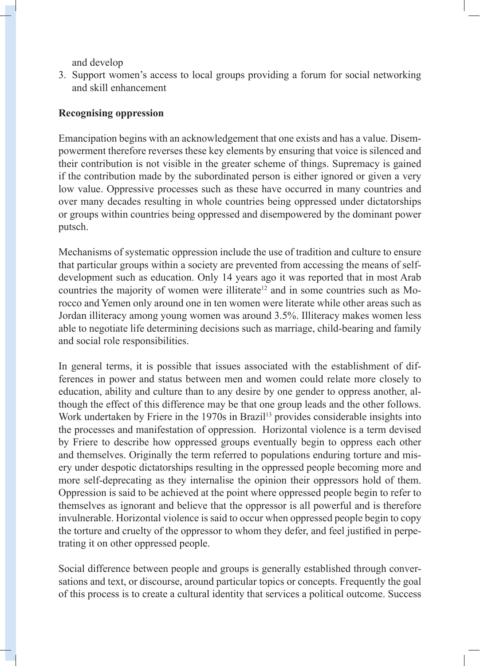and develop

3. Support women's access to local groups providing a forum for social networking and skill enhancement

#### **Recognising oppression**

Emancipation begins with an acknowledgement that one exists and has a value. Disempowerment therefore reverses these key elements by ensuring that voice is silenced and their contribution is not visible in the greater scheme of things. Supremacy is gained if the contribution made by the subordinated person is either ignored or given a very low value. Oppressive processes such as these have occurred in many countries and over many decades resulting in whole countries being oppressed under dictatorships or groups within countries being oppressed and disempowered by the dominant power putsch.

Mechanisms of systematic oppression include the use of tradition and culture to ensure that particular groups within a society are prevented from accessing the means of selfdevelopment such as education. Only 14 years ago it was reported that in most Arab countries the majority of women were illiterate<sup>12</sup> and in some countries such as Morocco and Yemen only around one in ten women were literate while other areas such as Jordan illiteracy among young women was around 3.5%. Illiteracy makes women less able to negotiate life determining decisions such as marriage, child-bearing and family and social role responsibilities.

In general terms, it is possible that issues associated with the establishment of differences in power and status between men and women could relate more closely to education, ability and culture than to any desire by one gender to oppress another, although the effect of this difference may be that one group leads and the other follows. Work undertaken by Friere in the 1970s in Brazil<sup>13</sup> provides considerable insights into the processes and manifestation of oppression. Horizontal violence is a term devised by Friere to describe how oppressed groups eventually begin to oppress each other and themselves. Originally the term referred to populations enduring torture and misery under despotic dictatorships resulting in the oppressed people becoming more and more self-deprecating as they internalise the opinion their oppressors hold of them. Oppression is said to be achieved at the point where oppressed people begin to refer to themselves as ignorant and believe that the oppressor is all powerful and is therefore invulnerable. Horizontal violence is said to occur when oppressed people begin to copy the torture and cruelty of the oppressor to whom they defer, and feel justified in perpetrating it on other oppressed people.

Social difference between people and groups is generally established through conversations and text, or discourse, around particular topics or concepts. Frequently the goal of this process is to create a cultural identity that services a political outcome. Success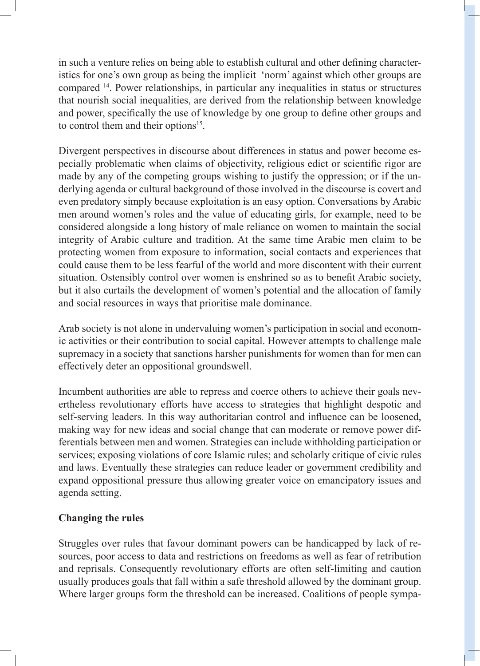in such a venture relies on being able to establish cultural and other defining characteristics for one's own group as being the implicit 'norm' against which other groups are compared 14. Power relationships, in particular any inequalities in status or structures that nourish social inequalities, are derived from the relationship between knowledge and power, specifically the use of knowledge by one group to define other groups and to control them and their options<sup>15</sup>.

Divergent perspectives in discourse about differences in status and power become especially problematic when claims of objectivity, religious edict or scientific rigor are made by any of the competing groups wishing to justify the oppression; or if the underlying agenda or cultural background of those involved in the discourse is covert and even predatory simply because exploitation is an easy option. Conversations by Arabic men around women's roles and the value of educating girls, for example, need to be considered alongside a long history of male reliance on women to maintain the social integrity of Arabic culture and tradition. At the same time Arabic men claim to be protecting women from exposure to information, social contacts and experiences that could cause them to be less fearful of the world and more discontent with their current situation. Ostensibly control over women is enshrined so as to benefit Arabic society, but it also curtails the development of women's potential and the allocation of family and social resources in ways that prioritise male dominance.

Arab society is not alone in undervaluing women's participation in social and economic activities or their contribution to social capital. However attempts to challenge male supremacy in a society that sanctions harsher punishments for women than for men can effectively deter an oppositional groundswell.

Incumbent authorities are able to repress and coerce others to achieve their goals nevertheless revolutionary efforts have access to strategies that highlight despotic and self-serving leaders. In this way authoritarian control and influence can be loosened, making way for new ideas and social change that can moderate or remove power differentials between men and women. Strategies can include withholding participation or services; exposing violations of core Islamic rules; and scholarly critique of civic rules and laws. Eventually these strategies can reduce leader or government credibility and expand oppositional pressure thus allowing greater voice on emancipatory issues and agenda setting.

#### **Changing the rules**

Struggles over rules that favour dominant powers can be handicapped by lack of resources, poor access to data and restrictions on freedoms as well as fear of retribution and reprisals. Consequently revolutionary efforts are often self-limiting and caution usually produces goals that fall within a safe threshold allowed by the dominant group. Where larger groups form the threshold can be increased. Coalitions of people sympa-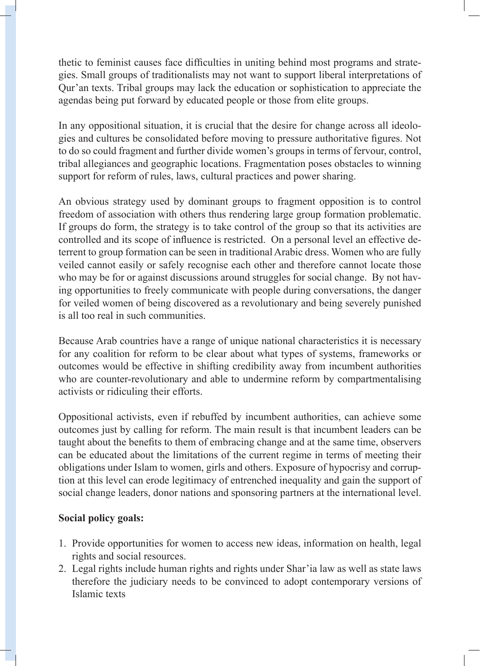thetic to feminist causes face difficulties in uniting behind most programs and strategies. Small groups of traditionalists may not want to support liberal interpretations of Qur'an texts. Tribal groups may lack the education or sophistication to appreciate the agendas being put forward by educated people or those from elite groups.

In any oppositional situation, it is crucial that the desire for change across all ideologies and cultures be consolidated before moving to pressure authoritative figures. Not to do so could fragment and further divide women's groups in terms of fervour, control, tribal allegiances and geographic locations. Fragmentation poses obstacles to winning support for reform of rules, laws, cultural practices and power sharing.

An obvious strategy used by dominant groups to fragment opposition is to control freedom of association with others thus rendering large group formation problematic. If groups do form, the strategy is to take control of the group so that its activities are controlled and its scope of influence is restricted. On a personal level an effective deterrent to group formation can be seen in traditional Arabic dress. Women who are fully veiled cannot easily or safely recognise each other and therefore cannot locate those who may be for or against discussions around struggles for social change. By not having opportunities to freely communicate with people during conversations, the danger for veiled women of being discovered as a revolutionary and being severely punished is all too real in such communities.

Because Arab countries have a range of unique national characteristics it is necessary for any coalition for reform to be clear about what types of systems, frameworks or outcomes would be effective in shifting credibility away from incumbent authorities who are counter-revolutionary and able to undermine reform by compartmentalising activists or ridiculing their efforts.

Oppositional activists, even if rebuffed by incumbent authorities, can achieve some outcomes just by calling for reform. The main result is that incumbent leaders can be taught about the benefits to them of embracing change and at the same time, observers can be educated about the limitations of the current regime in terms of meeting their obligations under Islam to women, girls and others. Exposure of hypocrisy and corruption at this level can erode legitimacy of entrenched inequality and gain the support of social change leaders, donor nations and sponsoring partners at the international level.

## **Social policy goals:**

- 1. Provide opportunities for women to access new ideas, information on health, legal rights and social resources.
- 2. Legal rights include human rights and rights under Shar'ia law as well as state laws therefore the judiciary needs to be convinced to adopt contemporary versions of Islamic texts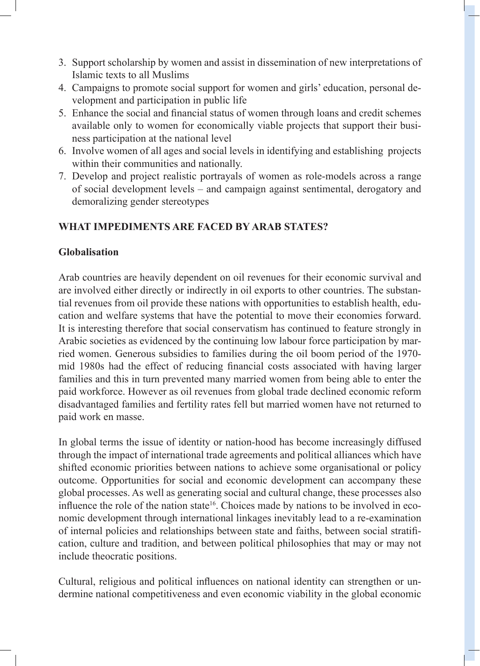- 3. Support scholarship by women and assist in dissemination of new interpretations of Islamic texts to all Muslims
- 4. Campaigns to promote social support for women and girls' education, personal development and participation in public life
- 5. Enhance the social and financial status of women through loans and credit schemes available only to women for economically viable projects that support their business participation at the national level
- 6. Involve women of all ages and social levels in identifying and establishing projects within their communities and nationally.
- 7. Develop and project realistic portrayals of women as role-models across a range of social development levels – and campaign against sentimental, derogatory and demoralizing gender stereotypes

# **WHAT IMPEDIMENTS ARE FACED BY ARAB STATES?**

## **Globalisation**

Arab countries are heavily dependent on oil revenues for their economic survival and are involved either directly or indirectly in oil exports to other countries. The substantial revenues from oil provide these nations with opportunities to establish health, education and welfare systems that have the potential to move their economies forward. It is interesting therefore that social conservatism has continued to feature strongly in Arabic societies as evidenced by the continuing low labour force participation by married women. Generous subsidies to families during the oil boom period of the 1970 mid 1980s had the effect of reducing financial costs associated with having larger families and this in turn prevented many married women from being able to enter the paid workforce. However as oil revenues from global trade declined economic reform disadvantaged families and fertility rates fell but married women have not returned to paid work en masse.

In global terms the issue of identity or nation-hood has become increasingly diffused through the impact of international trade agreements and political alliances which have shifted economic priorities between nations to achieve some organisational or policy outcome. Opportunities for social and economic development can accompany these global processes. As well as generating social and cultural change, these processes also influence the role of the nation state<sup>16</sup>. Choices made by nations to be involved in economic development through international linkages inevitably lead to a re-examination of internal policies and relationships between state and faiths, between social stratification, culture and tradition, and between political philosophies that may or may not include theocratic positions.

Cultural, religious and political influences on national identity can strengthen or undermine national competitiveness and even economic viability in the global economic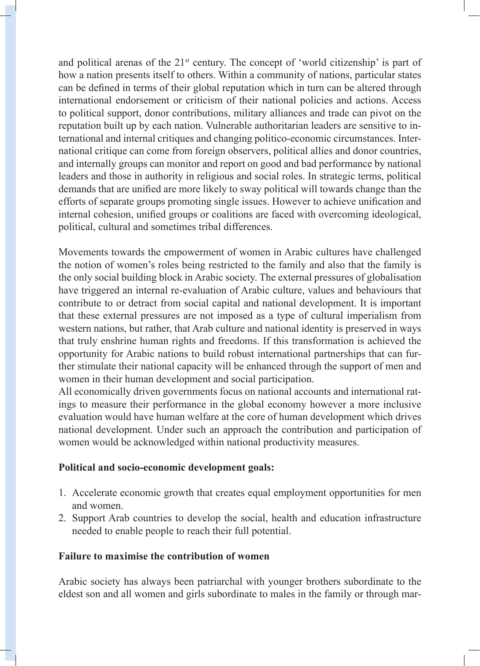and political arenas of the  $21<sup>st</sup>$  century. The concept of 'world citizenship' is part of how a nation presents itself to others. Within a community of nations, particular states can be defined in terms of their global reputation which in turn can be altered through international endorsement or criticism of their national policies and actions. Access to political support, donor contributions, military alliances and trade can pivot on the reputation built up by each nation. Vulnerable authoritarian leaders are sensitive to international and internal critiques and changing politico-economic circumstances. International critique can come from foreign observers, political allies and donor countries, and internally groups can monitor and report on good and bad performance by national leaders and those in authority in religious and social roles. In strategic terms, political demands that are unified are more likely to sway political will towards change than the efforts of separate groups promoting single issues. However to achieve unification and internal cohesion, unified groups or coalitions are faced with overcoming ideological, political, cultural and sometimes tribal differences.

Movements towards the empowerment of women in Arabic cultures have challenged the notion of women's roles being restricted to the family and also that the family is the only social building block in Arabic society. The external pressures of globalisation have triggered an internal re-evaluation of Arabic culture, values and behaviours that contribute to or detract from social capital and national development. It is important that these external pressures are not imposed as a type of cultural imperialism from western nations, but rather, that Arab culture and national identity is preserved in ways that truly enshrine human rights and freedoms. If this transformation is achieved the opportunity for Arabic nations to build robust international partnerships that can further stimulate their national capacity will be enhanced through the support of men and women in their human development and social participation.

All economically driven governments focus on national accounts and international ratings to measure their performance in the global economy however a more inclusive evaluation would have human welfare at the core of human development which drives national development. Under such an approach the contribution and participation of women would be acknowledged within national productivity measures.

#### **Political and socio-economic development goals:**

- 1. Accelerate economic growth that creates equal employment opportunities for men and women.
- 2. Support Arab countries to develop the social, health and education infrastructure needed to enable people to reach their full potential.

#### **Failure to maximise the contribution of women**

Arabic society has always been patriarchal with younger brothers subordinate to the eldest son and all women and girls subordinate to males in the family or through mar-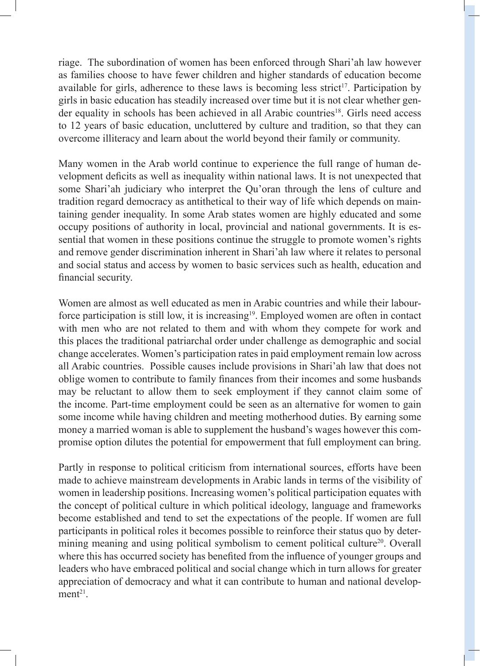riage. The subordination of women has been enforced through Shari'ah law however as families choose to have fewer children and higher standards of education become available for girls, adherence to these laws is becoming less strict<sup>17</sup>. Participation by girls in basic education has steadily increased over time but it is not clear whether gender equality in schools has been achieved in all Arabic countries<sup>18</sup>. Girls need access to 12 years of basic education, uncluttered by culture and tradition, so that they can overcome illiteracy and learn about the world beyond their family or community.

Many women in the Arab world continue to experience the full range of human development deficits as well as inequality within national laws. It is not unexpected that some Shari'ah judiciary who interpret the Qu'oran through the lens of culture and tradition regard democracy as antithetical to their way of life which depends on maintaining gender inequality. In some Arab states women are highly educated and some occupy positions of authority in local, provincial and national governments. It is essential that women in these positions continue the struggle to promote women's rights and remove gender discrimination inherent in Shari'ah law where it relates to personal and social status and access by women to basic services such as health, education and financial security.

Women are almost as well educated as men in Arabic countries and while their labourforce participation is still low, it is increasing<sup>19</sup>. Employed women are often in contact with men who are not related to them and with whom they compete for work and this places the traditional patriarchal order under challenge as demographic and social change accelerates. Women's participation rates in paid employment remain low across all Arabic countries. Possible causes include provisions in Shari'ah law that does not oblige women to contribute to family finances from their incomes and some husbands may be reluctant to allow them to seek employment if they cannot claim some of the income. Part-time employment could be seen as an alternative for women to gain some income while having children and meeting motherhood duties. By earning some money a married woman is able to supplement the husband's wages however this compromise option dilutes the potential for empowerment that full employment can bring.

Partly in response to political criticism from international sources, efforts have been made to achieve mainstream developments in Arabic lands in terms of the visibility of women in leadership positions. Increasing women's political participation equates with the concept of political culture in which political ideology, language and frameworks become established and tend to set the expectations of the people. If women are full participants in political roles it becomes possible to reinforce their status quo by determining meaning and using political symbolism to cement political culture<sup>20</sup>. Overall where this has occurred society has benefited from the influence of younger groups and leaders who have embraced political and social change which in turn allows for greater appreciation of democracy and what it can contribute to human and national develop $ment<sup>21</sup>$ .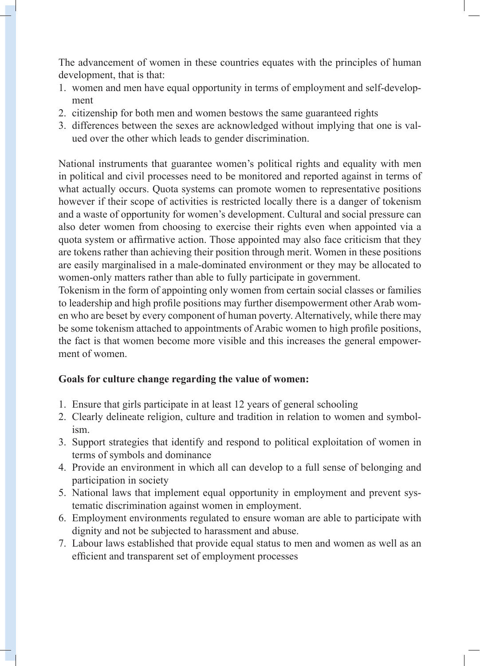The advancement of women in these countries equates with the principles of human development, that is that:

- 1. women and men have equal opportunity in terms of employment and self-development
- 2. citizenship for both men and women bestows the same guaranteed rights
- 3. differences between the sexes are acknowledged without implying that one is valued over the other which leads to gender discrimination.

National instruments that guarantee women's political rights and equality with men in political and civil processes need to be monitored and reported against in terms of what actually occurs. Quota systems can promote women to representative positions however if their scope of activities is restricted locally there is a danger of tokenism and a waste of opportunity for women's development. Cultural and social pressure can also deter women from choosing to exercise their rights even when appointed via a quota system or affirmative action. Those appointed may also face criticism that they are tokens rather than achieving their position through merit. Women in these positions are easily marginalised in a male-dominated environment or they may be allocated to women-only matters rather than able to fully participate in government.

Tokenism in the form of appointing only women from certain social classes or families to leadership and high profile positions may further disempowerment other Arab women who are beset by every component of human poverty. Alternatively, while there may be some tokenism attached to appointments of Arabic women to high profile positions, the fact is that women become more visible and this increases the general empowerment of women.

## **Goals for culture change regarding the value of women:**

- 1. Ensure that girls participate in at least 12 years of general schooling
- 2. Clearly delineate religion, culture and tradition in relation to women and symbolism.
- 3. Support strategies that identify and respond to political exploitation of women in terms of symbols and dominance
- 4. Provide an environment in which all can develop to a full sense of belonging and participation in society
- 5. National laws that implement equal opportunity in employment and prevent systematic discrimination against women in employment.
- 6. Employment environments regulated to ensure woman are able to participate with dignity and not be subjected to harassment and abuse.
- 7. Labour laws established that provide equal status to men and women as well as an efficient and transparent set of employment processes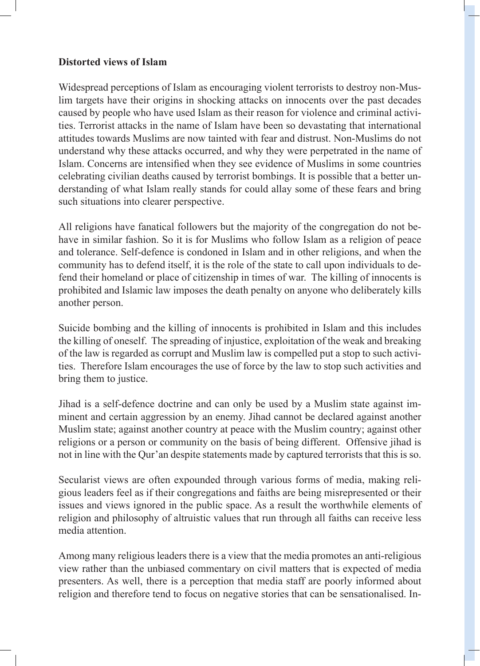#### **Distorted views of Islam**

Widespread perceptions of Islam as encouraging violent terrorists to destroy non-Muslim targets have their origins in shocking attacks on innocents over the past decades caused by people who have used Islam as their reason for violence and criminal activities. Terrorist attacks in the name of Islam have been so devastating that international attitudes towards Muslims are now tainted with fear and distrust. Non-Muslims do not understand why these attacks occurred, and why they were perpetrated in the name of Islam. Concerns are intensified when they see evidence of Muslims in some countries celebrating civilian deaths caused by terrorist bombings. It is possible that a better understanding of what Islam really stands for could allay some of these fears and bring such situations into clearer perspective.

All religions have fanatical followers but the majority of the congregation do not behave in similar fashion. So it is for Muslims who follow Islam as a religion of peace and tolerance. Self-defence is condoned in Islam and in other religions, and when the community has to defend itself, it is the role of the state to call upon individuals to defend their homeland or place of citizenship in times of war. The killing of innocents is prohibited and Islamic law imposes the death penalty on anyone who deliberately kills another person.

Suicide bombing and the killing of innocents is prohibited in Islam and this includes the killing of oneself. The spreading of injustice, exploitation of the weak and breaking of the law is regarded as corrupt and Muslim law is compelled put a stop to such activities. Therefore Islam encourages the use of force by the law to stop such activities and bring them to justice.

Jihad is a self-defence doctrine and can only be used by a Muslim state against imminent and certain aggression by an enemy. Jihad cannot be declared against another Muslim state; against another country at peace with the Muslim country; against other religions or a person or community on the basis of being different. Offensive jihad is not in line with the Qur'an despite statements made by captured terrorists that this is so.

Secularist views are often expounded through various forms of media, making religious leaders feel as if their congregations and faiths are being misrepresented or their issues and views ignored in the public space. As a result the worthwhile elements of religion and philosophy of altruistic values that run through all faiths can receive less media attention.

Among many religious leaders there is a view that the media promotes an anti-religious view rather than the unbiased commentary on civil matters that is expected of media presenters. As well, there is a perception that media staff are poorly informed about religion and therefore tend to focus on negative stories that can be sensationalised. In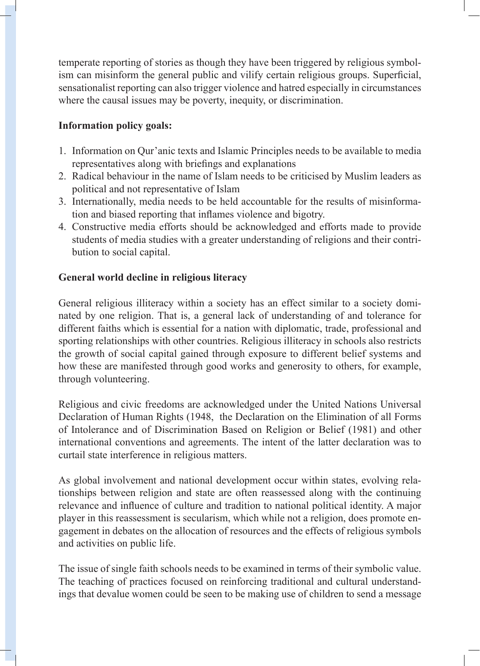temperate reporting of stories as though they have been triggered by religious symbolism can misinform the general public and vilify certain religious groups. Superficial, sensationalist reporting can also trigger violence and hatred especially in circumstances where the causal issues may be poverty, inequity, or discrimination.

## **Information policy goals:**

- 1. Information on Qur'anic texts and Islamic Principles needs to be available to media representatives along with briefings and explanations
- 2. Radical behaviour in the name of Islam needs to be criticised by Muslim leaders as political and not representative of Islam
- 3. Internationally, media needs to be held accountable for the results of misinformation and biased reporting that inflames violence and bigotry.
- 4. Constructive media efforts should be acknowledged and efforts made to provide students of media studies with a greater understanding of religions and their contribution to social capital.

## **General world decline in religious literacy**

General religious illiteracy within a society has an effect similar to a society dominated by one religion. That is, a general lack of understanding of and tolerance for different faiths which is essential for a nation with diplomatic, trade, professional and sporting relationships with other countries. Religious illiteracy in schools also restricts the growth of social capital gained through exposure to different belief systems and how these are manifested through good works and generosity to others, for example, through volunteering.

Religious and civic freedoms are acknowledged under the United Nations Universal Declaration of Human Rights (1948, the Declaration on the Elimination of all Forms of Intolerance and of Discrimination Based on Religion or Belief (1981) and other international conventions and agreements. The intent of the latter declaration was to curtail state interference in religious matters.

As global involvement and national development occur within states, evolving relationships between religion and state are often reassessed along with the continuing relevance and influence of culture and tradition to national political identity. A major player in this reassessment is secularism, which while not a religion, does promote engagement in debates on the allocation of resources and the effects of religious symbols and activities on public life.

The issue of single faith schools needs to be examined in terms of their symbolic value. The teaching of practices focused on reinforcing traditional and cultural understandings that devalue women could be seen to be making use of children to send a message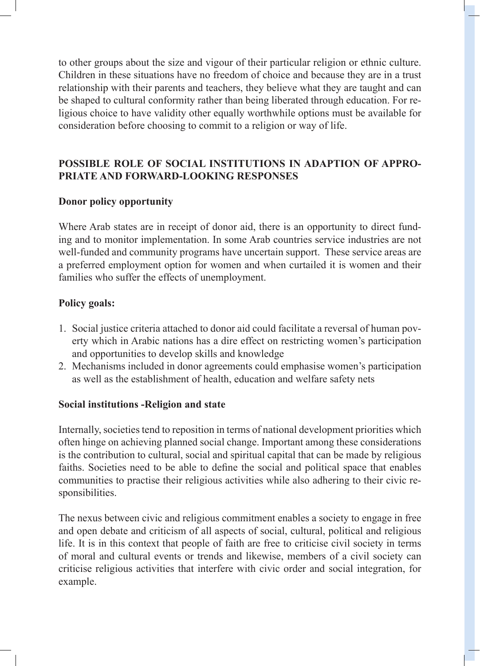to other groups about the size and vigour of their particular religion or ethnic culture. Children in these situations have no freedom of choice and because they are in a trust relationship with their parents and teachers, they believe what they are taught and can be shaped to cultural conformity rather than being liberated through education. For religious choice to have validity other equally worthwhile options must be available for consideration before choosing to commit to a religion or way of life.

## **POSSIBLE ROLE OF SOCIAL INSTITUTIONS IN ADAPTION OF APPRO-PRIATE AND FORWARD-LOOKING RESPONSES**

#### **Donor policy opportunity**

Where Arab states are in receipt of donor aid, there is an opportunity to direct funding and to monitor implementation. In some Arab countries service industries are not well-funded and community programs have uncertain support. These service areas are a preferred employment option for women and when curtailed it is women and their families who suffer the effects of unemployment.

#### **Policy goals:**

- 1. Social justice criteria attached to donor aid could facilitate a reversal of human poverty which in Arabic nations has a dire effect on restricting women's participation and opportunities to develop skills and knowledge
- 2. Mechanisms included in donor agreements could emphasise women's participation as well as the establishment of health, education and welfare safety nets

#### **Social institutions -Religion and state**

Internally, societies tend to reposition in terms of national development priorities which often hinge on achieving planned social change. Important among these considerations is the contribution to cultural, social and spiritual capital that can be made by religious faiths. Societies need to be able to define the social and political space that enables communities to practise their religious activities while also adhering to their civic responsibilities.

The nexus between civic and religious commitment enables a society to engage in free and open debate and criticism of all aspects of social, cultural, political and religious life. It is in this context that people of faith are free to criticise civil society in terms of moral and cultural events or trends and likewise, members of a civil society can criticise religious activities that interfere with civic order and social integration, for example.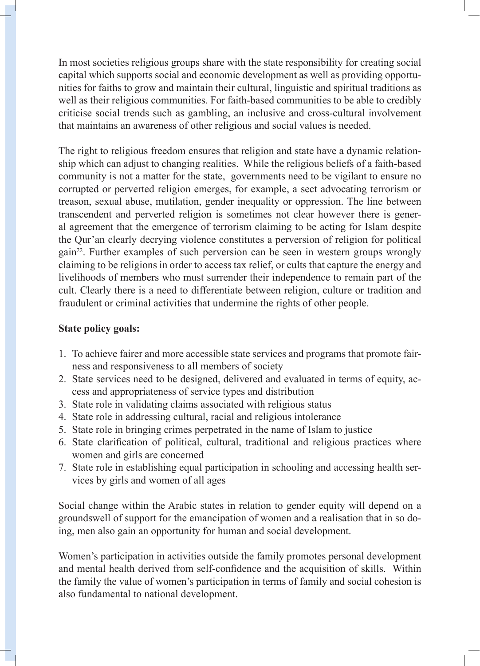In most societies religious groups share with the state responsibility for creating social capital which supports social and economic development as well as providing opportunities for faiths to grow and maintain their cultural, linguistic and spiritual traditions as well as their religious communities. For faith-based communities to be able to credibly criticise social trends such as gambling, an inclusive and cross-cultural involvement that maintains an awareness of other religious and social values is needed.

The right to religious freedom ensures that religion and state have a dynamic relationship which can adjust to changing realities. While the religious beliefs of a faith-based community is not a matter for the state, governments need to be vigilant to ensure no corrupted or perverted religion emerges, for example, a sect advocating terrorism or treason, sexual abuse, mutilation, gender inequality or oppression. The line between transcendent and perverted religion is sometimes not clear however there is general agreement that the emergence of terrorism claiming to be acting for Islam despite the Qur'an clearly decrying violence constitutes a perversion of religion for political gain22. Further examples of such perversion can be seen in western groups wrongly claiming to be religions in order to access tax relief, or cults that capture the energy and livelihoods of members who must surrender their independence to remain part of the cult. Clearly there is a need to differentiate between religion, culture or tradition and fraudulent or criminal activities that undermine the rights of other people.

## **State policy goals:**

- 1. To achieve fairer and more accessible state services and programs that promote fairness and responsiveness to all members of society
- 2. State services need to be designed, delivered and evaluated in terms of equity, access and appropriateness of service types and distribution
- 3. State role in validating claims associated with religious status
- 4. State role in addressing cultural, racial and religious intolerance
- 5. State role in bringing crimes perpetrated in the name of Islam to justice
- 6. State clarification of political, cultural, traditional and religious practices where women and girls are concerned
- 7. State role in establishing equal participation in schooling and accessing health services by girls and women of all ages

Social change within the Arabic states in relation to gender equity will depend on a groundswell of support for the emancipation of women and a realisation that in so doing, men also gain an opportunity for human and social development.

Women's participation in activities outside the family promotes personal development and mental health derived from self-confidence and the acquisition of skills. Within the family the value of women's participation in terms of family and social cohesion is also fundamental to national development.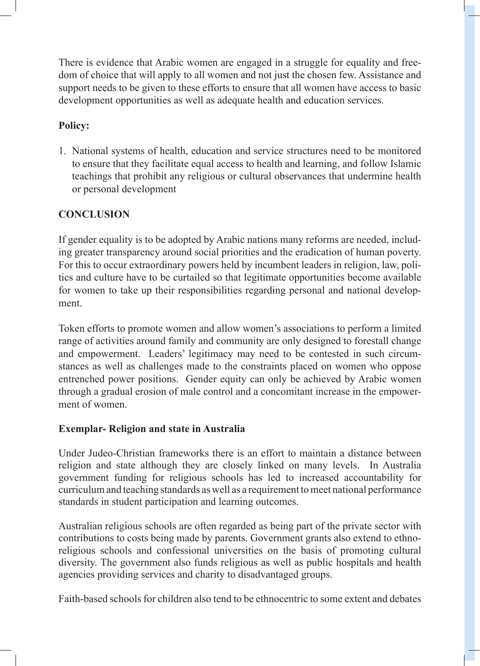There is evidence that Arabic women are engaged in a struggle for equality and freedom of choice that will apply to all women and not just the chosen few. Assistance and support needs to be given to these efforts to ensure that all women have access to basic development opportunities as well as adequate health and education services.

# **Policy:**

1. National systems of health, education and service structures need to be monitored to ensure that they facilitate equal access to health and learning, and follow Islamic teachings that prohibit any religious or cultural observances that undermine health or personal development

## **CONCLUSION**

If gender equality is to be adopted by Arabic nations many reforms are needed, including greater transparency around social priorities and the eradication of human poverty. For this to occur extraordinary powers held by incumbent leaders in religion, law, politics and culture have to be curtailed so that legitimate opportunities become available for women to take up their responsibilities regarding personal and national development.

Token efforts to promote women and allow women's associations to perform a limited range of activities around family and community are only designed to forestall change and empowerment. Leaders' legitimacy may need to be contested in such circumstances as well as challenges made to the constraints placed on women who oppose entrenched power positions. Gender equity can only be achieved by Arabic women through a gradual erosion of male control and a concomitant increase in the empowerment of women.

#### **Exemplar- Religion and state in Australia**

Under Judeo-Christian frameworks there is an effort to maintain a distance between religion and state although they are closely linked on many levels. In Australia government funding for religious schools has led to increased accountability for curriculum and teaching standards as well as a requirement to meet national performance standards in student participation and learning outcomes.

Australian religious schools are often regarded as being part of the private sector with contributions to costs being made by parents. Government grants also extend to ethnoreligious schools and confessional universities on the basis of promoting cultural diversity. The government also funds religious as well as public hospitals and health agencies providing services and charity to disadvantaged groups.

Faith-based schools for children also tend to be ethnocentric to some extent and debates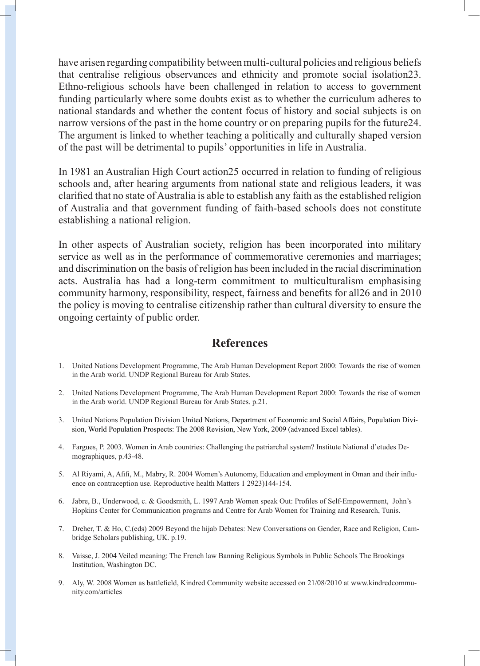have arisen regarding compatibility between multi-cultural policies and religious beliefs that centralise religious observances and ethnicity and promote social isolation23. Ethno-religious schools have been challenged in relation to access to government funding particularly where some doubts exist as to whether the curriculum adheres to national standards and whether the content focus of history and social subjects is on narrow versions of the past in the home country or on preparing pupils for the future24. The argument is linked to whether teaching a politically and culturally shaped version of the past will be detrimental to pupils' opportunities in life in Australia.

In 1981 an Australian High Court action25 occurred in relation to funding of religious schools and, after hearing arguments from national state and religious leaders, it was clarified that no state of Australia is able to establish any faith as the established religion of Australia and that government funding of faith-based schools does not constitute establishing a national religion.

In other aspects of Australian society, religion has been incorporated into military service as well as in the performance of commemorative ceremonies and marriages; and discrimination on the basis of religion has been included in the racial discrimination acts. Australia has had a long-term commitment to multiculturalism emphasising community harmony, responsibility, respect, fairness and benefits for all26 and in 2010 the policy is moving to centralise citizenship rather than cultural diversity to ensure the ongoing certainty of public order.

#### **References**

- 1. United Nations Development Programme, The Arab Human Development Report 2000: Towards the rise of women in the Arab world. UNDP Regional Bureau for Arab States.
- 2. United Nations Development Programme, The Arab Human Development Report 2000: Towards the rise of women in the Arab world. UNDP Regional Bureau for Arab States. p.21.
- 3. United Nations Population Division United Nations, Department of Economic and Social Affairs, Population Division, World Population Prospects: The 2008 Revision, New York, 2009 (advanced Excel tables).
- 4. Fargues, P. 2003. Women in Arab countries: Challenging the patriarchal system? Institute National d'etudes Demographiques, p.43-48.
- 5. Al Riyami, A, Afifi, M., Mabry, R. 2004 Women's Autonomy, Education and employment in Oman and their influence on contraception use. Reproductive health Matters 1 2923)144-154.
- 6. Jabre, B., Underwood, c. & Goodsmith, L. 1997 Arab Women speak Out: Profiles of Self-Empowerment, John's Hopkins Center for Communication programs and Centre for Arab Women for Training and Research, Tunis.
- 7. Dreher, T. & Ho, C.(eds) 2009 Beyond the hijab Debates: New Conversations on Gender, Race and Religion, Cambridge Scholars publishing, UK. p.19.
- 8. Vaisse, J. 2004 Veiled meaning: The French law Banning Religious Symbols in Public Schools The Brookings Institution, Washington DC.
- 9. Aly, W. 2008 Women as battlefield, Kindred Community website accessed on 21/08/2010 at www.kindredcommunity.com/articles